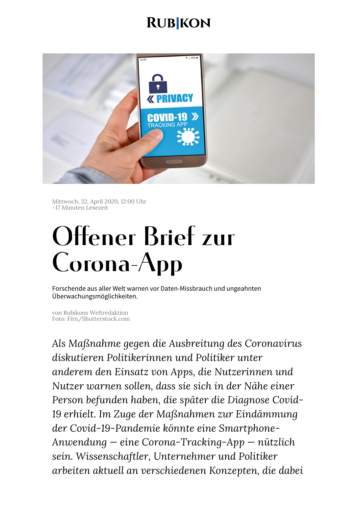# **RUB KON**



Mittwoch, 22. April 2020, 12:00 Uhr ~17 Minuten Lesezeit

# Offener Brief zur Corona-App

Forschende aus aller Welt warnen vor Daten-Missbrauch und ungeahnten Überwachungsmöglichkeiten.

von Rubikons Weltredaktion Foto: Firn/Shutterstock.com

*Als Maßnahme gegen die Ausbreitung des Coronavirus diskutieren Politikerinnen und Politiker unter anderem den Einsatz von Apps, die Nutzerinnen und Nutzer warnen sollen, dass sie sich in der Nähe einer Person befunden haben, die später die Diagnose Covid-19 erhielt. Im Zuge der Maßnahmen zur Eindämmung der Covid-19-Pandemie könnte eine Smartphone-Anwendung — eine Corona-Tracking-App — nützlich sein. Wissenschaftler, Unternehmer und Politiker arbeiten aktuell an verschiedenen Konzepten, die dabei*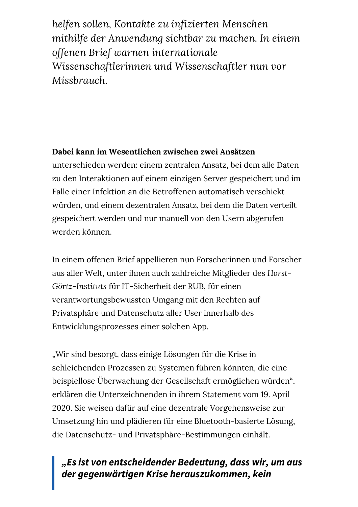*helfen sollen, Kontakte zu infizierten Menschen mithilfe der Anwendung sichtbar zu machen. In einem offenen Brief warnen internationale Wissenschaftlerinnen und Wissenschaftler nun vor Missbrauch.*

#### **Dabei kann im Wesentlichen zwischen zwei Ansätzen**

unterschieden werden: einem zentralen Ansatz, bei dem alle Daten zu den Interaktionen auf einem einzigen Server gespeichert und im Falle einer Infektion an die Betroffenen automatisch verschickt würden, und einem dezentralen Ansatz, bei dem die Daten verteilt gespeichert werden und nur manuell von den Usern abgerufen werden können.

In einem offenen Brief appellieren nun Forscherinnen und Forscher aus aller Welt, unter ihnen auch zahlreiche Mitglieder des *Horst-Görtz-Instituts* für IT-Sicherheit der RUB, für einen verantwortungsbewussten Umgang mit den Rechten auf Privatsphäre und Datenschutz aller User innerhalb des Entwicklungsprozesses einer solchen App.

"Wir sind besorgt, dass einige Lösungen für die Krise in schleichenden Prozessen zu Systemen führen könnten, die eine beispiellose Überwachung der Gesellschaft ermöglichen würden", erklären die Unterzeichnenden in ihrem Statement vom 19. April 2020. Sie weisen dafür auf eine dezentrale Vorgehensweise zur Umsetzung hin und plädieren für eine Bluetooth-basierte Lösung, die Datenschutz- und Privatsphäre-Bestimmungen einhält.

## **"Es ist von entscheidender Bedeutung, dass wir, um aus der gegenwärtigen Krise herauszukommen, kein**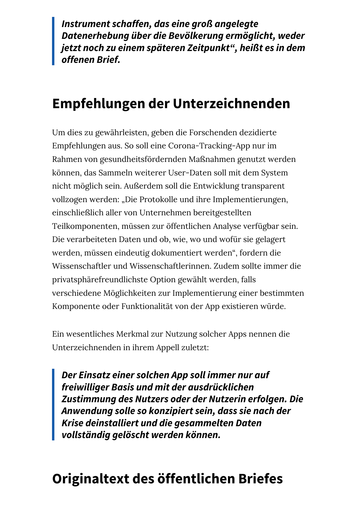**Instrument schaffen, das eine groß angelegte Datenerhebung über die Bevölkerung ermöglicht, weder jetzt noch zu einem späteren Zeitpunkt" , heißt es in dem offenen Brief.**

# **Empfehlungen der Unterzeichnenden**

Um dies zu gewährleisten, geben die Forschenden dezidierte Empfehlungen aus. So soll eine Corona-Tracking-App nur im Rahmen von gesundheitsfördernden Maßnahmen genutzt werden können, das Sammeln weiterer User-Daten soll mit dem System nicht möglich sein. Außerdem soll die Entwicklung transparent vollzogen werden: "Die Protokolle und ihre Implementierungen, einschließlich aller von Unternehmen bereitgestellten Teilkomponenten, müssen zur öffentlichen Analyse verfügbar sein. Die verarbeiteten Daten und ob, wie, wo und wofür sie gelagert werden, müssen eindeutig dokumentiert werden", fordern die Wissenschaftler und Wissenschaftlerinnen. Zudem sollte immer die privatsphärefreundlichste Option gewählt werden, falls verschiedene Möglichkeiten zur Implementierung einer bestimmten Komponente oder Funktionalität von der App existieren würde.

Ein wesentliches Merkmal zur Nutzung solcher Apps nennen die Unterzeichnenden in ihrem Appell zuletzt:

**Der Einsatz einer solchen App soll immer nur auf freiwilliger Basis und mit der ausdrücklichen Zustimmung des Nutzers oder der Nutzerin erfolgen. Die Anwendung solle so konzipiert sein, dass sie nach der Krise deinstalliert und die gesammelten Daten vollständig gelöscht werden können.**

# **Originaltext des öffentlichen Briefes**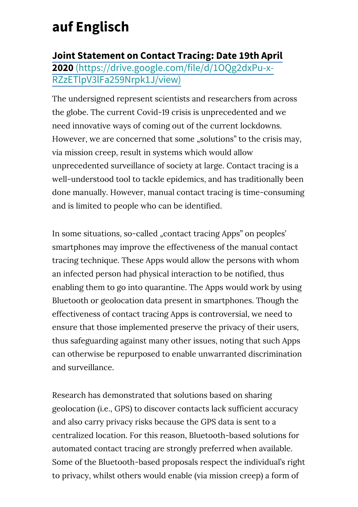# **auf Englisch**

**Joint Statement on Contact Tracing: Date 19th April 2020** [\(https://drive.google.com/file/d/1OQg2dxPu-x-](https://drive.google.com/file/d/1OQg2dxPu-x-RZzETlpV3lFa259Nrpk1J/view)RZzETlpV3lFa259Nrpk1J/view)

The undersigned represent scientists and researchers from across the globe. The current Covid-19 crisis is unprecedented and we need innovative ways of coming out of the current lockdowns. However, we are concerned that some "solutions" to the crisis may, via mission creep, result in systems which would allow unprecedented surveillance of society at large. Contact tracing is a well-understood tool to tackle epidemics, and has traditionally been done manually. However, manual contact tracing is time-consuming and is limited to people who can be identified.

In some situations, so-called "contact tracing Apps" on peoples' smartphones may improve the effectiveness of the manual contact tracing technique. These Apps would allow the persons with whom an infected person had physical interaction to be notified, thus enabling them to go into quarantine. The Apps would work by using Bluetooth or geolocation data present in smartphones. Though the effectiveness of contact tracing Apps is controversial, we need to ensure that those implemented preserve the privacy of their users, thus safeguarding against many other issues, noting that such Apps can otherwise be repurposed to enable unwarranted discrimination and surveillance.

Research has demonstrated that solutions based on sharing geolocation (i.e., GPS) to discover contacts lack sufficient accuracy and also carry privacy risks because the GPS data is sent to a centralized location. For this reason, Bluetooth-based solutions for automated contact tracing are strongly preferred when available. Some of the Bluetooth-based proposals respect the individual's right to privacy, whilst others would enable (via mission creep) a form of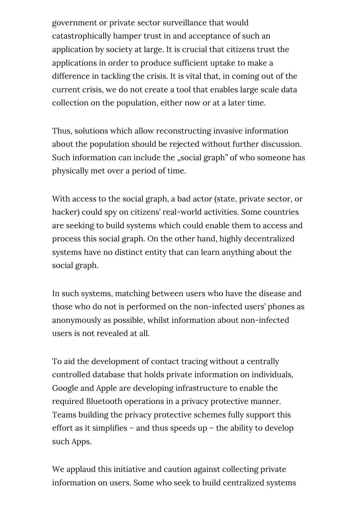government or private sector surveillance that would catastrophically hamper trust in and acceptance of such an application by society at large. It is crucial that citizens trust the applications in order to produce sufficient uptake to make a difference in tackling the crisis. It is vital that, in coming out of the current crisis, we do not create a tool that enables large scale data collection on the population, either now or at a later time.

Thus, solutions which allow reconstructing invasive information about the population should be rejected without further discussion. Such information can include the "social graph" of who someone has physically met over a period of time.

With access to the social graph, a bad actor (state, private sector, or hacker) could spy on citizens' real-world activities. Some countries are seeking to build systems which could enable them to access and process this social graph. On the other hand, highly decentralized systems have no distinct entity that can learn anything about the social graph.

In such systems, matching between users who have the disease and those who do not is performed on the non-infected users' phones as anonymously as possible, whilst information about non-infected users is not revealed at all.

To aid the development of contact tracing without a centrally controlled database that holds private information on individuals, Google and Apple are developing infrastructure to enable the required Bluetooth operations in a privacy protective manner. Teams building the privacy protective schemes fully support this effort as it simplifies – and thus speeds up – the ability to develop such Apps.

We applaud this initiative and caution against collecting private information on users. Some who seek to build centralized systems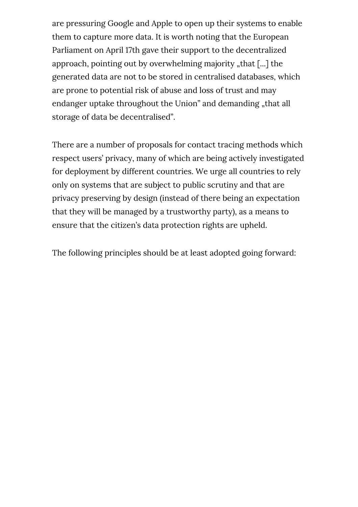are pressuring Google and Apple to open up their systems to enable them to capture more data. It is worth noting that the European Parliament on April 17th gave their support to the decentralized approach, pointing out by overwhelming majority "that [...] the generated data are not to be stored in centralised databases, which are prone to potential risk of abuse and loss of trust and may endanger uptake throughout the Union" and demanding "that all storage of data be decentralised".

There are a number of proposals for contact tracing methods which respect users' privacy, many of which are being actively investigated for deployment by different countries. We urge all countries to rely only on systems that are subject to public scrutiny and that are privacy preserving by design (instead of there being an expectation that they will be managed by a trustworthy party), as a means to ensure that the citizen's data protection rights are upheld.

The following principles should be at least adopted going forward: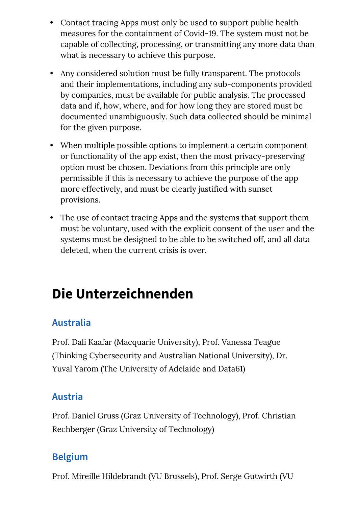- Contact tracing Apps must only be used to support public health measures for the containment of Covid-19. The system must not be capable of collecting, processing, or transmitting any more data than what is necessary to achieve this purpose.
- Any considered solution must be fully transparent. The protocols and their implementations, including any sub-components provided by companies, must be available for public analysis. The processed data and if, how, where, and for how long they are stored must be documented unambiguously. Such data collected should be minimal for the given purpose.
- When multiple possible options to implement a certain component or functionality of the app exist, then the most privacy-preserving option must be chosen. Deviations from this principle are only permissible if this is necessary to achieve the purpose of the app more effectively, and must be clearly justified with sunset provisions.
- The use of contact tracing Apps and the systems that support them must be voluntary, used with the explicit consent of the user and the systems must be designed to be able to be switched off, and all data deleted, when the current crisis is over.

# **Die Unterzeichnenden**

# **Australia**

Prof. Dali Kaafar (Macquarie University), Prof. Vanessa Teague (Thinking Cybersecurity and Australian National University), Dr. Yuval Yarom (The University of Adelaide and Data61)

# **Austria**

Prof. Daniel Gruss (Graz University of Technology), Prof. Christian Rechberger (Graz University of Technology)

# **Belgium**

Prof. Mireille Hildebrandt (VU Brussels), Prof. Serge Gutwirth (VU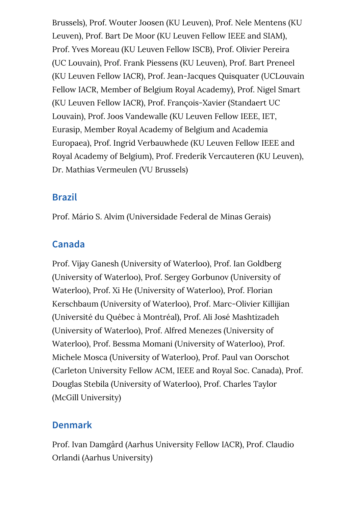Brussels), Prof. Wouter Joosen (KU Leuven), Prof. Nele Mentens (KU Leuven), Prof. Bart De Moor (KU Leuven Fellow IEEE and SIAM), Prof. Yves Moreau (KU Leuven Fellow ISCB), Prof. Olivier Pereira (UC Louvain), Prof. Frank Piessens (KU Leuven), Prof. Bart Preneel (KU Leuven Fellow IACR), Prof. Jean-Jacques Quisquater (UCLouvain Fellow IACR, Member of Belgium Royal Academy), Prof. Nigel Smart (KU Leuven Fellow IACR), Prof. François-Xavier (Standaert UC Louvain), Prof. Joos Vandewalle (KU Leuven Fellow IEEE, IET, Eurasip, Member Royal Academy of Belgium and Academia Europaea), Prof. Ingrid Verbauwhede (KU Leuven Fellow IEEE and Royal Academy of Belgium), Prof. Frederik Vercauteren (KU Leuven), Dr. Mathias Vermeulen (VU Brussels)

#### **Brazil**

Prof. Mário S. Alvim (Universidade Federal de Minas Gerais)

# **Canada**

Prof. Vijay Ganesh (University of Waterloo), Prof. Ian Goldberg (University of Waterloo), Prof. Sergey Gorbunov (University of Waterloo), Prof. Xi He (University of Waterloo), Prof. Florian Kerschbaum (University of Waterloo), Prof. Marc-Olivier Killijian (Université du Québec à Montréal), Prof. Ali José Mashtizadeh (University of Waterloo), Prof. Alfred Menezes (University of Waterloo), Prof. Bessma Momani (University of Waterloo), Prof. Michele Mosca (University of Waterloo), Prof. Paul van Oorschot (Carleton University Fellow ACM, IEEE and Royal Soc. Canada), Prof. Douglas Stebila (University of Waterloo), Prof. Charles Taylor (McGill University)

# **Denmark**

Prof. Ivan Damgård (Aarhus University Fellow IACR), Prof. Claudio Orlandi (Aarhus University)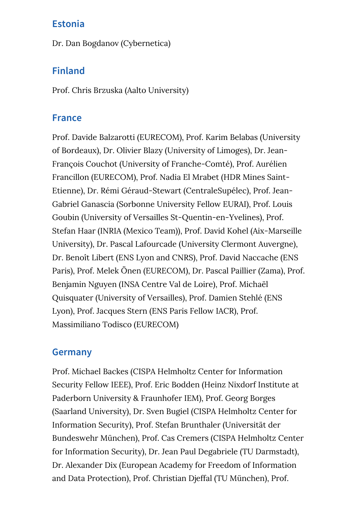#### **Estonia**

Dr. Dan Bogdanov (Cybernetica)

#### **Finland**

Prof. Chris Brzuska (Aalto University)

#### **France**

Prof. Davide Balzarotti (EURECOM), Prof. Karim Belabas (University of Bordeaux), Dr. Olivier Blazy (University of Limoges), Dr. Jean-François Couchot (University of Franche-Comté), Prof. Aurélien Francillon (EURECOM), Prof. Nadia El Mrabet (HDR Mines Saint-Etienne), Dr. Rémi Géraud-Stewart (CentraleSupélec), Prof. Jean-Gabriel Ganascia (Sorbonne University Fellow EURAI), Prof. Louis Goubin (University of Versailles St-Quentin-en-Yvelines), Prof. Stefan Haar (INRIA (Mexico Team)), Prof. David Kohel (Aix-Marseille University), Dr. Pascal Lafourcade (University Clermont Auvergne), Dr. Benoît Libert (ENS Lyon and CNRS), Prof. David Naccache (ENS Paris), Prof. Melek Önen (EURECOM), Dr. Pascal Paillier (Zama), Prof. Benjamin Nguyen (INSA Centre Val de Loire), Prof. Michaël Quisquater (University of Versailles), Prof. Damien Stehlé (ENS Lyon), Prof. Jacques Stern (ENS Paris Fellow IACR), Prof. Massimiliano Todisco (EURECOM)

#### **Germany**

Prof. Michael Backes (CISPA Helmholtz Center for Information Security Fellow IEEE), Prof. Eric Bodden (Heinz Nixdorf Institute at Paderborn University & Fraunhofer IEM), Prof. Georg Borges (Saarland University), Dr. Sven Bugiel (CISPA Helmholtz Center for Information Security), Prof. Stefan Brunthaler (Universität der Bundeswehr München), Prof. Cas Cremers (CISPA Helmholtz Center for Information Security), Dr. Jean Paul Degabriele (TU Darmstadt), Dr. Alexander Dix (European Academy for Freedom of Information and Data Protection), Prof. Christian Djeffal (TU München), Prof.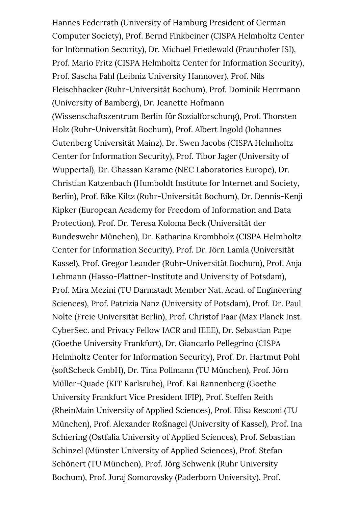Hannes Federrath (University of Hamburg President of German Computer Society), Prof. Bernd Finkbeiner (CISPA Helmholtz Center for Information Security), Dr. Michael Friedewald (Fraunhofer ISI), Prof. Mario Fritz (CISPA Helmholtz Center for Information Security), Prof. Sascha Fahl (Leibniz University Hannover), Prof. Nils Fleischhacker (Ruhr-Universität Bochum), Prof. Dominik Herrmann (University of Bamberg), Dr. Jeanette Hofmann (Wissenschaftszentrum Berlin für Sozialforschung), Prof. Thorsten Holz (Ruhr-Universität Bochum), Prof. Albert Ingold (Johannes Gutenberg Universität Mainz), Dr. Swen Jacobs (CISPA Helmholtz Center for Information Security), Prof. Tibor Jager (University of Wuppertal), Dr. Ghassan Karame (NEC Laboratories Europe), Dr. Christian Katzenbach (Humboldt Institute for Internet and Society, Berlin), Prof. Eike Kiltz (Ruhr-Universität Bochum), Dr. Dennis-Kenji Kipker (European Academy for Freedom of Information and Data Protection), Prof. Dr. Teresa Koloma Beck (Universität der Bundeswehr München), Dr. Katharina Krombholz (CISPA Helmholtz Center for Information Security), Prof. Dr. Jörn Lamla (Universität Kassel), Prof. Gregor Leander (Ruhr-Universität Bochum), Prof. Anja Lehmann (Hasso-Plattner-Institute and University of Potsdam), Prof. Mira Mezini (TU Darmstadt Member Nat. Acad. of Engineering Sciences), Prof. Patrizia Nanz (University of Potsdam), Prof. Dr. Paul Nolte (Freie Universität Berlin), Prof. Christof Paar (Max Planck Inst. CyberSec. and Privacy Fellow IACR and IEEE), Dr. Sebastian Pape (Goethe University Frankfurt), Dr. Giancarlo Pellegrino (CISPA Helmholtz Center for Information Security), Prof. Dr. Hartmut Pohl (softScheck GmbH), Dr. Tina Pollmann (TU München), Prof. Jörn Müller-Quade (KIT Karlsruhe), Prof. Kai Rannenberg (Goethe University Frankfurt Vice President IFIP), Prof. Steffen Reith (RheinMain University of Applied Sciences), Prof. Elisa Resconi (TU München), Prof. Alexander Roßnagel (University of Kassel), Prof. Ina Schiering (Ostfalia University of Applied Sciences), Prof. Sebastian Schinzel (Münster University of Applied Sciences), Prof. Stefan Schönert (TU München), Prof. Jörg Schwenk (Ruhr University Bochum), Prof. Juraj Somorovsky (Paderborn University), Prof.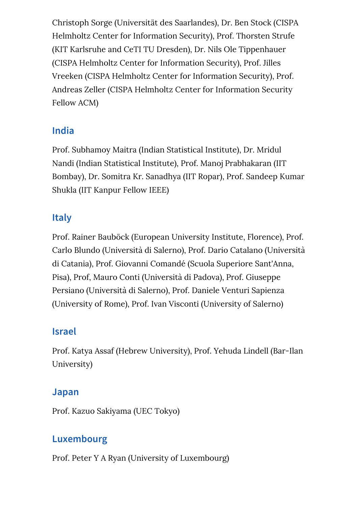Christoph Sorge (Universität des Saarlandes), Dr. Ben Stock (CISPA Helmholtz Center for Information Security), Prof. Thorsten Strufe (KIT Karlsruhe and CeTI TU Dresden), Dr. Nils Ole Tippenhauer (CISPA Helmholtz Center for Information Security), Prof. Jilles Vreeken (CISPA Helmholtz Center for Information Security), Prof. Andreas Zeller (CISPA Helmholtz Center for Information Security Fellow ACM)

## **India**

Prof. Subhamoy Maitra (Indian Statistical Institute), Dr. Mridul Nandi (Indian Statistical Institute), Prof. Manoj Prabhakaran (IIT Bombay), Dr. Somitra Kr. Sanadhya (IIT Ropar), Prof. Sandeep Kumar Shukla (IIT Kanpur Fellow IEEE)

## **Italy**

Prof. Rainer Bauböck (European University Institute, Florence), Prof. Carlo Blundo (Università di Salerno), Prof. Dario Catalano (Università di Catania), Prof. Giovanni Comandé (Scuola Superiore Sant'Anna, Pisa), Prof, Mauro Conti (Università di Padova), Prof. Giuseppe Persiano (Università di Salerno), Prof. Daniele Venturi Sapienza (University of Rome), Prof. Ivan Visconti (University of Salerno)

#### **Israel**

Prof. Katya Assaf (Hebrew University), Prof. Yehuda Lindell (Bar-Ilan University)

#### **Japan**

Prof. Kazuo Sakiyama (UEC Tokyo)

# **Luxembourg**

Prof. Peter Y A Ryan (University of Luxembourg)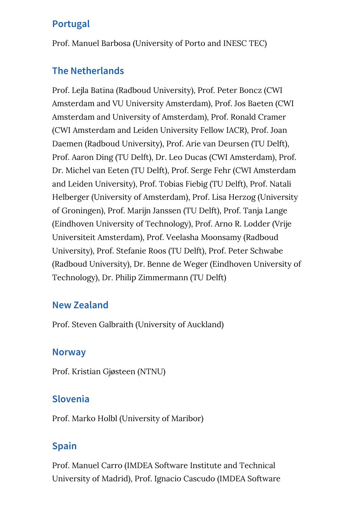## **Portugal**

Prof. Manuel Barbosa (University of Porto and INESC TEC)

## **The Netherlands**

Prof. Lejla Batina (Radboud University), Prof. Peter Boncz (CWI Amsterdam and VU University Amsterdam), Prof. Jos Baeten (CWI Amsterdam and University of Amsterdam), Prof. Ronald Cramer (CWI Amsterdam and Leiden University Fellow IACR), Prof. Joan Daemen (Radboud University), Prof. Arie van Deursen (TU Delft), Prof. Aaron Ding (TU Delft), Dr. Leo Ducas (CWI Amsterdam), Prof. Dr. Michel van Eeten (TU Delft), Prof. Serge Fehr (CWI Amsterdam and Leiden University), Prof. Tobias Fiebig (TU Delft), Prof. Natali Helberger (University of Amsterdam), Prof. Lisa Herzog (University of Groningen), Prof. Marijn Janssen (TU Delft), Prof. Tanja Lange (Eindhoven University of Technology), Prof. Arno R. Lodder (Vrije Universiteit Amsterdam), Prof. Veelasha Moonsamy (Radboud University), Prof. Stefanie Roos (TU Delft), Prof. Peter Schwabe (Radboud University), Dr. Benne de Weger (Eindhoven University of Technology), Dr. Philip Zimmermann (TU Delft)

#### **New Zealand**

Prof. Steven Galbraith (University of Auckland)

#### **Norway**

Prof. Kristian Gjøsteen (NTNU)

#### **Slovenia**

Prof. Marko Holbl (University of Maribor)

## **Spain**

Prof. Manuel Carro (IMDEA Software Institute and Technical University of Madrid), Prof. Ignacio Cascudo (IMDEA Software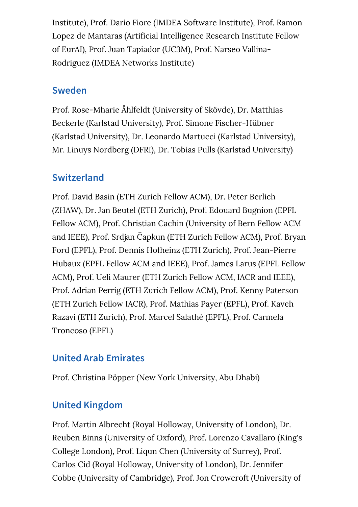Institute), Prof. Dario Fiore (IMDEA Software Institute), Prof. Ramon Lopez de Mantaras (Artificial Intelligence Research Institute Fellow of EurAI), Prof. Juan Tapiador (UC3M), Prof. Narseo Vallina-Rodriguez (IMDEA Networks Institute)

#### **Sweden**

Prof. Rose-Mharie Åhlfeldt (University of Skövde), Dr. Matthias Beckerle (Karlstad University), Prof. Simone Fischer-Hübner (Karlstad University), Dr. Leonardo Martucci (Karlstad University), Mr. Linuys Nordberg (DFRI), Dr. Tobias Pulls (Karlstad University)

# **Switzerland**

Prof. David Basin (ETH Zurich Fellow ACM), Dr. Peter Berlich (ZHAW), Dr. Jan Beutel (ETH Zurich), Prof. Edouard Bugnion (EPFL Fellow ACM), Prof. Christian Cachin (University of Bern Fellow ACM and IEEE), Prof. Srdjan Čapkun (ETH Zurich Fellow ACM), Prof. Bryan Ford (EPFL), Prof. Dennis Hofheinz (ETH Zurich), Prof. Jean-Pierre Hubaux (EPFL Fellow ACM and IEEE), Prof. James Larus (EPFL Fellow ACM), Prof. Ueli Maurer (ETH Zurich Fellow ACM, IACR and IEEE), Prof. Adrian Perrig (ETH Zurich Fellow ACM), Prof. Kenny Paterson (ETH Zurich Fellow IACR), Prof. Mathias Payer (EPFL), Prof. Kaveh Razavi (ETH Zurich), Prof. Marcel Salathé (EPFL), Prof. Carmela Troncoso (EPFL)

# **United Arab Emirates**

Prof. Christina Pöpper (New York University, Abu Dhabi)

# **United Kingdom**

Prof. Martin Albrecht (Royal Holloway, University of London), Dr. Reuben Binns (University of Oxford), Prof. Lorenzo Cavallaro (King's College London), Prof. Liqun Chen (University of Surrey), Prof. Carlos Cid (Royal Holloway, University of London), Dr. Jennifer Cobbe (University of Cambridge), Prof. Jon Crowcroft (University of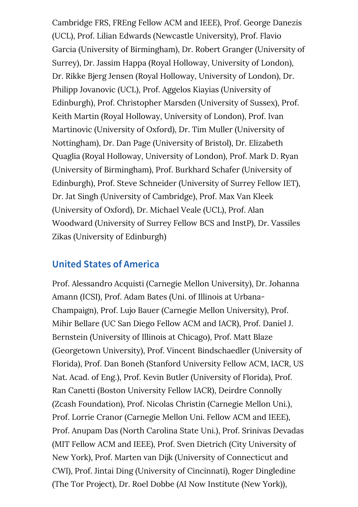Cambridge FRS, FREng Fellow ACM and IEEE), Prof. George Danezis (UCL), Prof. Lilian Edwards (Newcastle University), Prof. Flavio Garcia (University of Birmingham), Dr. Robert Granger (University of Surrey), Dr. Jassim Happa (Royal Holloway, University of London), Dr. Rikke Bjerg Jensen (Royal Holloway, University of London), Dr. Philipp Jovanovic (UCL), Prof. Aggelos Kiayias (University of Edinburgh), Prof. Christopher Marsden (University of Sussex), Prof. Keith Martin (Royal Holloway, University of London), Prof. Ivan Martinovic (University of Oxford), Dr. Tim Muller (University of Nottingham), Dr. Dan Page (University of Bristol), Dr. Elizabeth Quaglia (Royal Holloway, University of London), Prof. Mark D. Ryan (University of Birmingham), Prof. Burkhard Schafer (University of Edinburgh), Prof. Steve Schneider (University of Surrey Fellow IET), Dr. Jat Singh (University of Cambridge), Prof. Max Van Kleek (University of Oxford), Dr. Michael Veale (UCL), Prof. Alan Woodward (University of Surrey Fellow BCS and InstP), Dr. Vassiles Zikas (University of Edinburgh)

#### **United States of America**

Prof. Alessandro Acquisti (Carnegie Mellon University), Dr. Johanna Amann (ICSI), Prof. Adam Bates (Uni. of Illinois at Urbana-Champaign), Prof. Lujo Bauer (Carnegie Mellon University), Prof. Mihir Bellare (UC San Diego Fellow ACM and IACR), Prof. Daniel J. Bernstein (University of Illinois at Chicago), Prof. Matt Blaze (Georgetown University), Prof. Vincent Bindschaedler (University of Florida), Prof. Dan Boneh (Stanford University Fellow ACM, IACR, US Nat. Acad. of Eng.), Prof. Kevin Butler (University of Florida), Prof. Ran Canetti (Boston University Fellow IACR), Deirdre Connolly (Zcash Foundation), Prof. Nicolas Christin (Carnegie Mellon Uni.), Prof. Lorrie Cranor (Carnegie Mellon Uni. Fellow ACM and IEEE), Prof. Anupam Das (North Carolina State Uni.), Prof. Srinivas Devadas (MIT Fellow ACM and IEEE), Prof. Sven Dietrich (City University of New York), Prof. Marten van Dijk (University of Connecticut and CWI), Prof. Jintai Ding (University of Cincinnati), Roger Dingledine (The Tor Project), Dr. Roel Dobbe (AI Now Institute (New York)),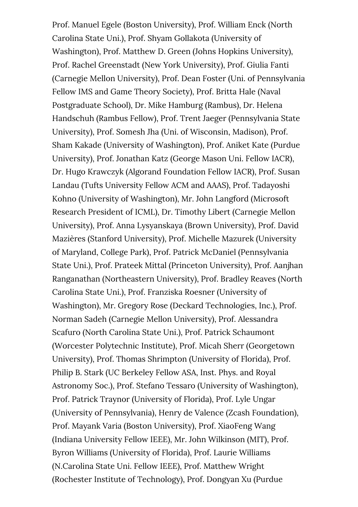Prof. Manuel Egele (Boston University), Prof. William Enck (North Carolina State Uni.), Prof. Shyam Gollakota (University of Washington), Prof. Matthew D. Green (Johns Hopkins University), Prof. Rachel Greenstadt (New York University), Prof. Giulia Fanti (Carnegie Mellon University), Prof. Dean Foster (Uni. of Pennsylvania Fellow IMS and Game Theory Society), Prof. Britta Hale (Naval Postgraduate School), Dr. Mike Hamburg (Rambus), Dr. Helena Handschuh (Rambus Fellow), Prof. Trent Jaeger (Pennsylvania State University), Prof. Somesh Jha (Uni. of Wisconsin, Madison), Prof. Sham Kakade (University of Washington), Prof. Aniket Kate (Purdue University), Prof. Jonathan Katz (George Mason Uni. Fellow IACR), Dr. Hugo Krawczyk (Algorand Foundation Fellow IACR), Prof. Susan Landau (Tufts University Fellow ACM and AAAS), Prof. Tadayoshi Kohno (University of Washington), Mr. John Langford (Microsoft Research President of ICML), Dr. Timothy Libert (Carnegie Mellon University), Prof. Anna Lysyanskaya (Brown University), Prof. David Mazières (Stanford University), Prof. Michelle Mazurek (University of Maryland, College Park), Prof. Patrick McDaniel (Pennsylvania State Uni.), Prof. Prateek Mittal (Princeton University), Prof. Aanjhan Ranganathan (Northeastern University), Prof. Bradley Reaves (North Carolina State Uni.), Prof. Franziska Roesner (University of Washington), Mr. Gregory Rose (Deckard Technologies, Inc.), Prof. Norman Sadeh (Carnegie Mellon University), Prof. Alessandra Scafuro (North Carolina State Uni.), Prof. Patrick Schaumont (Worcester Polytechnic Institute), Prof. Micah Sherr (Georgetown University), Prof. Thomas Shrimpton (University of Florida), Prof. Philip B. Stark (UC Berkeley Fellow ASA, Inst. Phys. and Royal Astronomy Soc.), Prof. Stefano Tessaro (University of Washington), Prof. Patrick Traynor (University of Florida), Prof. Lyle Ungar (University of Pennsylvania), Henry de Valence (Zcash Foundation), Prof. Mayank Varia (Boston University), Prof. XiaoFeng Wang (Indiana University Fellow IEEE), Mr. John Wilkinson (MIT), Prof. Byron Williams (University of Florida), Prof. Laurie Williams (N.Carolina State Uni. Fellow IEEE), Prof. Matthew Wright (Rochester Institute of Technology), Prof. Dongyan Xu (Purdue